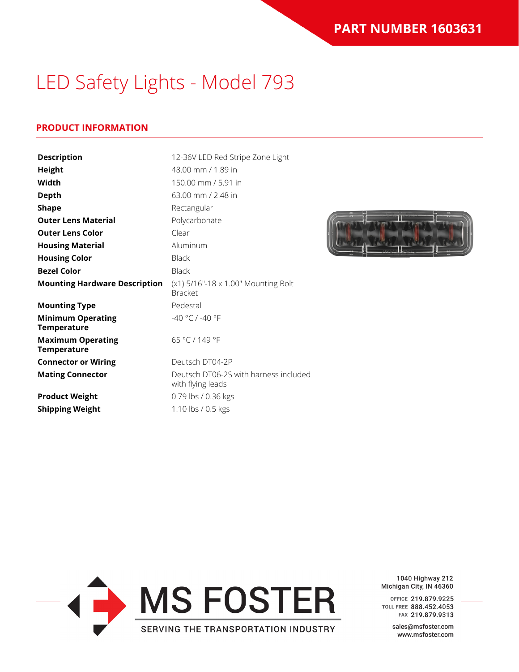### **PRODUCT INFORMATION**

| <b>Description</b>                             | 12-36V LED Red Stripe Zone Light                           |
|------------------------------------------------|------------------------------------------------------------|
| <b>Height</b>                                  | 48.00 mm / 1.89 in                                         |
| Width                                          | 150.00 mm / 5.91 in                                        |
| <b>Depth</b>                                   | 63.00 mm / 2.48 in                                         |
| <b>Shape</b>                                   | Rectangular                                                |
| <b>Outer Lens Material</b>                     | Polycarbonate                                              |
| <b>Outer Lens Color</b>                        | Clear                                                      |
| <b>Housing Material</b>                        | Aluminum                                                   |
| <b>Housing Color</b>                           | <b>Black</b>                                               |
| <b>Bezel Color</b>                             | <b>Black</b>                                               |
| <b>Mounting Hardware Description</b>           | $(x1)$ 5/16"-18 x 1.00" Mounting Bolt<br><b>Bracket</b>    |
| <b>Mounting Type</b>                           | Pedestal                                                   |
| <b>Minimum Operating</b><br><b>Temperature</b> | -40 °C / -40 °F                                            |
| <b>Maximum Operating</b><br><b>Temperature</b> | 65 °C / 149 °F                                             |
| <b>Connector or Wiring</b>                     | Deutsch DT04-2P                                            |
| <b>Mating Connector</b>                        | Deutsch DT06-2S with harness included<br>with flying leads |
| <b>Product Weight</b>                          | 0.79 lbs / 0.36 kgs                                        |
| <b>Shipping Weight</b>                         | 1.10 lbs / 0.5 kgs                                         |





1040 Highway 212 Michigan City, IN 46360

OFFICE 219.879.9225 TOLL FREE 888.452.4053 FAX 219.879.9313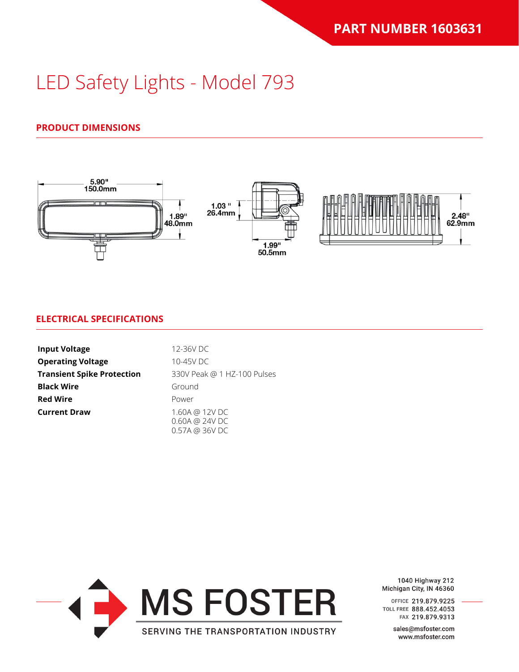## **PRODUCT DIMENSIONS**



#### **ELECTRICAL SPECIFICATIONS**

| <b>Input Voltage</b>              | 12-36V DC                                         |
|-----------------------------------|---------------------------------------------------|
| <b>Operating Voltage</b>          | 10-45V DC                                         |
| <b>Transient Spike Protection</b> | 330V Peak @ 1 HZ-100 Pulses                       |
| <b>Black Wire</b>                 | Ground                                            |
| <b>Red Wire</b>                   | Power                                             |
| <b>Current Draw</b>               | 1.60A @ 12V DC<br>0.60A @ 24V DC<br>0.57A @ 36VDC |



1040 Highway 212 Michigan City, IN 46360

OFFICE 219.879.9225 TOLL FREE 888.452.4053 FAX 219.879.9313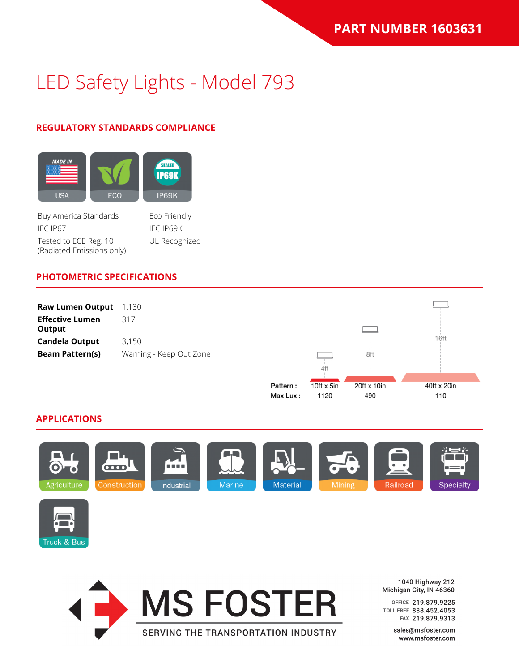## **REGULATORY STANDARDS COMPLIANCE**



Tested to ECE Reg. 10 (Radiated Emissions only) UL Recognized

### **PHOTOMETRIC SPECIFICATIONS**



Max Lux:

1120

490

#### **APPLICATIONS**







1040 Highway 212 Michigan City, IN 46360

110

OFFICE 219.879.9225 TOLL FREE 888.452.4053 FAX 219.879.9313